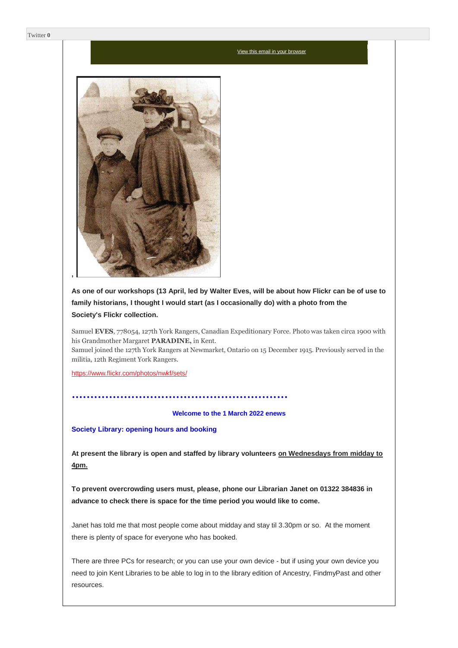#### [View this email in your browser](https://mailchi.mp/63541ad6b89d/enews-1-march-2022?e=a709ee61ff)



**As one of our workshops (13 April, led by Walter Eves, will be about how Flickr can be of use to family historians, I thought I would start (as I occasionally do) with a photo from the Society's Flickr collection.**

Samuel **EVES**, 778054, 127th York Rangers, Canadian Expeditionary Force. Photo was taken circa 1900 with his Grandmother Margaret **PARADINE,** in Kent.

Samuel joined the 127th York Rangers at Newmarket, Ontario on 15 December 1915. Previously served in the militia, 12th Regiment York Rangers.

<https://www.flickr.com/photos/nwkf/sets/>

**Welcome to the 1 March 2022 enews**

**Society Library: opening hours and booking**

..........................................................

**At present the library is open and staffed by library volunteers on Wednesdays from midday to 4pm.**

**To prevent overcrowding users must, please, phone our Librarian Janet on 01322 384836 in advance to check there is space for the time period you would like to come.**

Janet has told me that most people come about midday and stay til 3.30pm or so. At the moment there is plenty of space for everyone who has booked.

There are three PCs for research; or you can use your own device - but if using your own device you need to join Kent Libraries to be able to log in to the library edition of Ancestry, FindmyPast and other resources.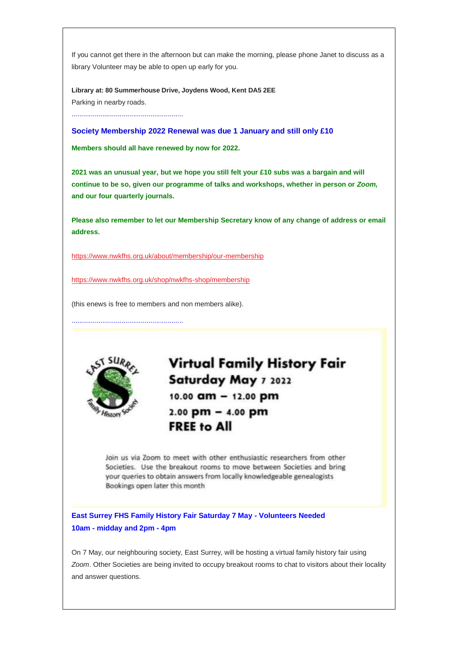If you cannot get there in the afternoon but can make the morning, please phone Janet to discuss as a library Volunteer may be able to open up early for you.

**Library at: 80 Summerhouse Drive, Joydens Wood, Kent DA5 2EE** Parking in nearby roads.

..........................................................

**Society Membership 2022 Renewal was due 1 January and still only £10**

**Members should all have renewed by now for 2022.**

**2021 was an unusual year, but we hope you still felt your £10 subs was a bargain and will continue to be so, given our programme of talks and workshops, whether in person or** *Zoom,* **and our four quarterly journals.**

**Please also remember to let our Membership Secretary know of any change of address or email address.**

<https://www.nwkfhs.org.uk/about/membership/our-membership>

<https://www.nwkfhs.org.uk/shop/nwkfhs-shop/membership>

(this enews is free to members and non members alike).

..........................................................



**Virtual Family History Fair** Saturday May 7 2022 10.00 am - 12.00 pm  $2.00$  pm  $-$  4.00 pm **FREE to All** 

Join us via Zoom to meet with other enthusiastic researchers from other Societies. Use the breakout rooms to move between Societies and bring your queries to obtain answers from locally knowledgeable genealogists Bookings open later this month

**East Surrey FHS Family History Fair Saturday 7 May - Volunteers Needed 10am - midday and 2pm - 4pm**

On 7 May, our neighbouring society, East Surrey, will be hosting a virtual family history fair using *Zoom*. Other Societies are being invited to occupy breakout rooms to chat to visitors about their locality and answer questions.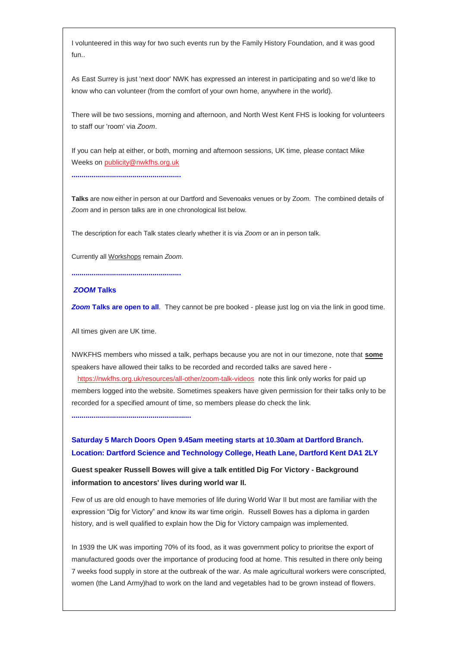I volunteered in this way for two such events run by the Family History Foundation, and it was good fun..

As East Surrey is just 'next door' NWK has expressed an interest in participating and so we'd like to know who can volunteer (from the comfort of your own home, anywhere in the world).

There will be two sessions, morning and afternoon, and North West Kent FHS is looking for volunteers to staff our 'room' via *Zoom*.

If you can help at either, or both, morning and afternoon sessions, UK time, please contact Mike Weeks o[n publicity@nwkfhs.org.uk](mailto:publicity@nwkfhs.org.uk?subject=East%20Surrey%20Family%20History%20Fair%207%20May%202022)

**......................................................**

**Talks** are now either in person at our Dartford and Sevenoaks venues or by Z*oom*. The combined details of *Zoom* and in person talks are in one chronological list below.

The description for each Talk states clearly whether it is via *Zoom* or an in person talk.

Currently all Workshops remain *Zoom*.

**......................................................**

## *ZOOM* **Talks**

**Zoom Talks are open to all**. They cannot be pre booked - please just log on via the link in good time.

All times given are UK time.

NWKFHS members who missed a talk, perhaps because you are not in our timezone, note that **some** speakers have allowed their talks to be recorded and recorded talks are saved here <https://nwkfhs.org.uk/resources/all-other/zoom-talk-videos> note this link only works for paid up

members logged into the website. Sometimes speakers have given permission for their talks only to be recorded for a specified amount of time, so members please do check the link.

**...........................................................**

# **Saturday 5 March Doors Open 9.45am meeting starts at 10.30am at Dartford Branch. Location: Dartford Science and Technology College, Heath Lane, Dartford Kent DA1 2LY**

**Guest speaker Russell Bowes will give a talk entitled Dig For Victory - Background information to ancestors' lives during world war II.**

Few of us are old enough to have memories of life during World War II but most are familiar with the expression "Dig for Victory" and know its war time origin. Russell Bowes has a diploma in garden history, and is well qualified to explain how the Dig for Victory campaign was implemented.

In 1939 the UK was importing 70% of its food, as it was government policy to prioritse the export of manufactured goods over the importance of producing food at home. This resulted in there only being 7 weeks food supply in store at the outbreak of the war. As male agricultural workers were conscripted, women (the Land Army)had to work on the land and vegetables had to be grown instead of flowers.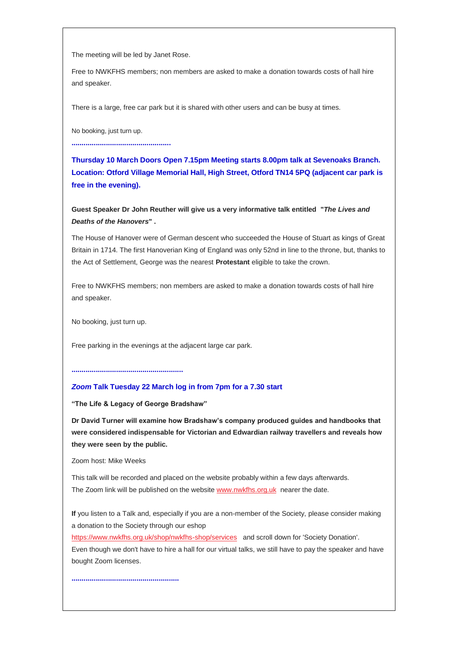The meeting will be led by Janet Rose.

Free to NWKFHS members; non members are asked to make a donation towards costs of hall hire and speaker.

There is a large, free car park but it is shared with other users and can be busy at times.

No booking, just turn up.

**.................................................**

**Thursday 10 March Doors Open 7.15pm Meeting starts 8.00pm talk at Sevenoaks Branch. Location: Otford Village Memorial Hall, High Street, Otford TN14 5PQ (adjacent car park is free in the evening).**

**Guest Speaker Dr John Reuther will give us a very informative talk entitled "***The Lives and Deaths of the Hanovers***" .**

The House of Hanover were of German descent who succeeded the House of Stuart as kings of Great Britain in 1714. The first Hanoverian King of England was only 52nd in line to the throne, but, thanks to the Act of Settlement, George was the nearest **Protestant** eligible to take the crown.

Free to NWKFHS members; non members are asked to make a donation towards costs of hall hire and speaker.

No booking, just turn up.

Free parking in the evenings at the adjacent large car park.

**.......................................................**

# *Zoom* **Talk Tuesday 22 March log in from 7pm for a 7.30 start**

**"The Life & Legacy of George Bradshaw"**

**Dr David Turner will examine how Bradshaw's company produced guides and handbooks that were considered indispensable for Victorian and Edwardian railway travellers and reveals how they were seen by the public.**

Zoom host: Mike Weeks

**.....................................................**

This talk will be recorded and placed on the website probably within a few days afterwards. The Zoom link will be published on the websit[e www.nwkfhs.org.uk](http://www.nwkfhs.org.uk/) nearer the date.

**If** you listen to a Talk and, especially if you are a non-member of the Society, please consider making a donation to the Society through our eshop

<https://www.nwkfhs.org.uk/shop/nwkfhs-shop/services> and scroll down for 'Society Donation'. Even though we don't have to hire a hall for our virtual talks, we still have to pay the speaker and have bought Zoom licenses.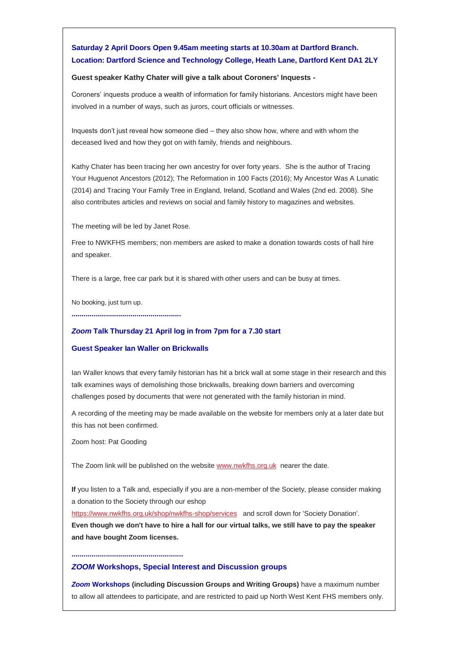# **Saturday 2 April Doors Open 9.45am meeting starts at 10.30am at Dartford Branch. Location: Dartford Science and Technology College, Heath Lane, Dartford Kent DA1 2LY**

#### **Guest speaker Kathy Chater will give a talk about Coroners' Inquests -**

Coroners' inquests produce a wealth of information for family historians. Ancestors might have been involved in a number of ways, such as jurors, court officials or witnesses.

Inquests don't just reveal how someone died – they also show how, where and with whom the deceased lived and how they got on with family, friends and neighbours.

Kathy Chater has been tracing her own ancestry for over forty years. She is the author of Tracing Your Huguenot Ancestors (2012); The Reformation in 100 Facts (2016); My Ancestor Was A Lunatic (2014) and Tracing Your Family Tree in England, Ireland, Scotland and Wales (2nd ed. 2008). She also contributes articles and reviews on social and family history to magazines and websites.

The meeting will be led by Janet Rose.

Free to NWKFHS members; non members are asked to make a donation towards costs of hall hire and speaker.

There is a large, free car park but it is shared with other users and can be busy at times.

No booking, just turn up.

**......................................................**

#### *Zoom* **Talk Thursday 21 April log in from 7pm for a 7.30 start**

#### **Guest Speaker Ian Waller on Brickwalls**

Ian Waller knows that every family historian has hit a brick wall at some stage in their research and this talk examines ways of demolishing those brickwalls, breaking down barriers and overcoming challenges posed by documents that were not generated with the family historian in mind.

A recording of the meeting may be made available on the website for members only at a later date but this has not been confirmed.

Zoom host: Pat Gooding

**.......................................................**

The Zoom link will be published on the websit[e www.nwkfhs.org.uk](http://www.nwkfhs.org.uk/) nearer the date.

**If** you listen to a Talk and, especially if you are a non-member of the Society, please consider making a donation to the Society through our eshop

<https://www.nwkfhs.org.uk/shop/nwkfhs-shop/services> and scroll down for 'Society Donation'. **Even though we don't have to hire a hall for our virtual talks, we still have to pay the speaker and have bought Zoom licenses.**

#### *ZOOM* **Workshops, Special Interest and Discussion groups**

*Zoom* **Workshops (including Discussion Groups and Writing Groups)** have a maximum number to allow all attendees to participate, and are restricted to paid up North West Kent FHS members only.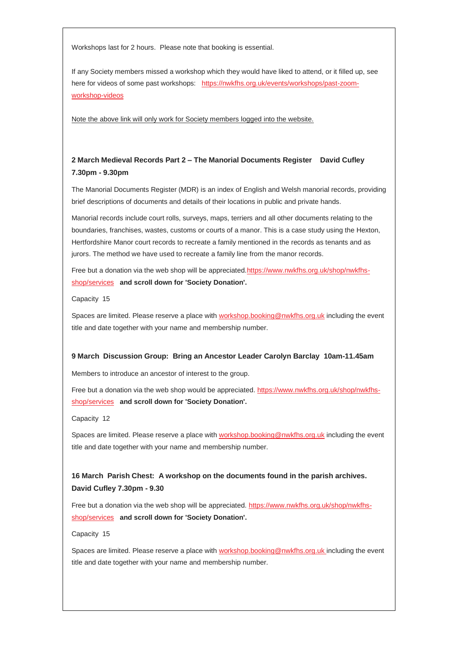Workshops last for 2 hours. Please note that booking is essential.

If any Society members missed a workshop which they would have liked to attend, or it filled up, see here for videos of some past workshops: [https://nwkfhs.org.uk/events/workshops/past-zoom](https://nwkfhs.org.uk/events/workshops/past-zoom-workshop-videos)[workshop-videos](https://nwkfhs.org.uk/events/workshops/past-zoom-workshop-videos)

Note the above link will only work for Society members logged into the website.

# **2 March Medieval Records Part 2 – The Manorial Documents Register David Cufley 7.30pm - 9.30pm**

The Manorial Documents Register (MDR) is an index of English and Welsh manorial records, providing brief descriptions of documents and details of their locations in public and private hands.

Manorial records include court rolls, surveys, maps, terriers and all other documents relating to the boundaries, franchises, wastes, customs or courts of a manor. This is a case study using the Hexton, Hertfordshire Manor court records to recreate a family mentioned in the records as tenants and as jurors. The method we have used to recreate a family line from the manor records.

Free but a donation via the web shop will be appreciate[d.https://www.nwkfhs.org.uk/shop/nwkfhs](https://www.nwkfhs.org.uk/shop/nwkfhs-shop/services)[shop/services](https://www.nwkfhs.org.uk/shop/nwkfhs-shop/services) **and scroll down for 'Society Donation'.**

Capacity 15

Spaces are limited. Please reserve a place wit[h workshop.booking@nwkfhs.org.uk](mailto:workshop.booking@nwkfhs.org.uk?subject=Workshop%3A%20Medieval%20Records%202%20March%202022) including the event title and date together with your name and membership number.

#### **9 March Discussion Group: Bring an Ancestor Leader Carolyn Barclay 10am-11.45am**

Members to introduce an ancestor of interest to the group.

Free but a donation via the web shop would be appreciated. [https://www.nwkfhs.org.uk/shop/nwkfhs](https://www.nwkfhs.org.uk/shop/nwkfhs-shop/services)[shop/services](https://www.nwkfhs.org.uk/shop/nwkfhs-shop/services) **and scroll down for 'Society Donation'.**

Capacity 12

Spaces are limited. Please reserve a place wit[h workshop.booking@nwkfhs.org.uk](mailto:workshop.booking@nwkfhs.org.uk?subject=Workshop%3A%20Bring%20An%20Ancestor%209%20March%202022) including the event title and date together with your name and membership number.

# **16 March Parish Chest: A workshop on the documents found in the parish archives. David Cufley 7.30pm - 9.30**

Free but a donation via the web shop will be appreciated. [https://www.nwkfhs.org.uk/shop/nwkfhs](https://www.nwkfhs.org.uk/shop/nwkfhs-shop/services)[shop/services](https://www.nwkfhs.org.uk/shop/nwkfhs-shop/services) **and scroll down for 'Society Donation'.**

Capacity 15

Spaces are limited. Please reserve a place wit[h workshop.booking@nwkfhs.org.uk i](mailto:workshop.booking@nwkfhs.org.uk?subject=Workshop%3A%20Parish%20Chest%2016%20March)ncluding the event title and date together with your name and membership number.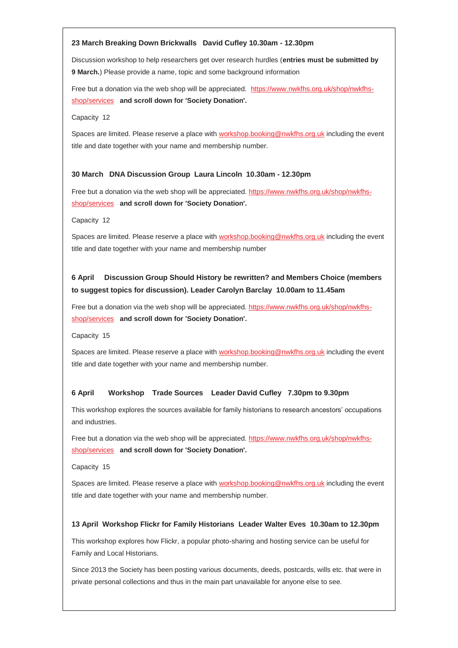#### **23 March Breaking Down Brickwalls David Cufley 10.30am - 12.30pm**

Discussion workshop to help researchers get over research hurdles (**entries must be submitted by 9 March.**) Please provide a name, topic and some background information

Free but a donation via the web shop will be appreciated. [https://www.nwkfhs.org.uk/shop/nwkfhs](https://www.nwkfhs.org.uk/shop/nwkfhs-shop/services)[shop/services](https://www.nwkfhs.org.uk/shop/nwkfhs-shop/services) **and scroll down for 'Society Donation'.**

Capacity 12

Spaces are limited. Please reserve a place wit[h workshop.booking@nwkfhs.org.uk](mailto:workshop.booking@nwkfhs.org.uk?subject=Workshop%3A%20Breaking%20Down%20Brick%20Walls%2023%20March) including the event title and date together with your name and membership number.

#### **30 March DNA Discussion Group Laura Lincoln 10.30am - 12.30pm**

Free but a donation via the web shop will be appreciated. [https://www.nwkfhs.org.uk/shop/nwkfhs](https://www.nwkfhs.org.uk/shop/nwkfhs-shop/services)[shop/services](https://www.nwkfhs.org.uk/shop/nwkfhs-shop/services) **and scroll down for 'Society Donation'.**

Capacity 12

Spaces are limited. Please reserve a place wit[h workshop.booking@nwkfhs.org.uk](mailto:workshop.booking@nwkfhs.org.uk?subject=DNA%20Discussion%20Group%20on%2030%20March) including the event title and date together with your name and membership number

# **6 April Discussion Group Should History be rewritten? and Members Choice (members to suggest topics for discussion). Leader Carolyn Barclay 10.00am to 11.45am**

Free but a donation via the web shop will be appreciated. [https://www.nwkfhs.org.uk/shop/nwkfhs](https://www.nwkfhs.org.uk/shop/nwkfhs-shop/services)[shop/services](https://www.nwkfhs.org.uk/shop/nwkfhs-shop/services) **and scroll down for 'Society Donation'.**

Capacity 15

Spaces are limited. Please reserve a place wit[h workshop.booking@nwkfhs.org.uk](mailto:workshop.booking@nwkfhs.org.uk?subject=6%20April%20Discussion%20group) including the event title and date together with your name and membership number.

#### **6 April Workshop Trade Sources Leader David Cufley 7.30pm to 9.30pm**

This workshop explores the sources available for family historians to research ancestors' occupations and industries.

Free but a donation via the web shop will be appreciated. [https://www.nwkfhs.org.uk/shop/nwkfhs](https://www.nwkfhs.org.uk/shop/nwkfhs-shop/services)[shop/services](https://www.nwkfhs.org.uk/shop/nwkfhs-shop/services) **and scroll down for 'Society Donation'.**

Capacity 15

Spaces are limited. Please reserve a place wit[h workshop.booking@nwkfhs.org.uk](mailto:workshop.booking@nwkfhs.org.uk?subject=6%20April%20Trade%20Sources) including the event title and date together with your name and membership number.

#### **13 April Workshop Flickr for Family Historians Leader Walter Eves 10.30am to 12.30pm**

This workshop explores how Flickr, a popular photo-sharing and hosting service can be useful for Family and Local Historians.

Since 2013 the Society has been posting various documents, deeds, postcards, wills etc. that were in private personal collections and thus in the main part unavailable for anyone else to see.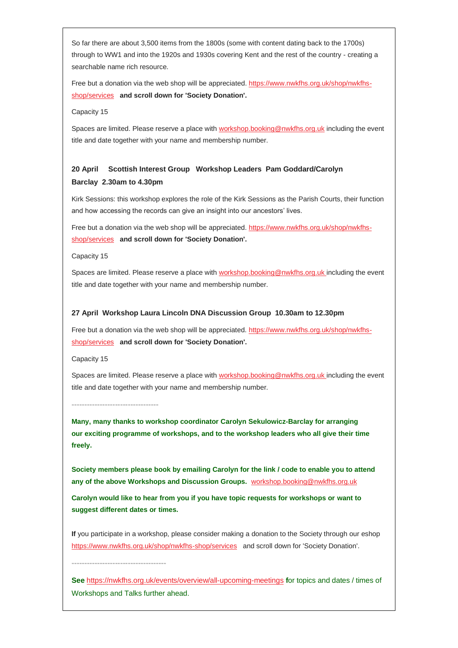So far there are about 3,500 items from the 1800s (some with content dating back to the 1700s) through to WW1 and into the 1920s and 1930s covering Kent and the rest of the country - creating a searchable name rich resource.

Free but a donation via the web shop will be appreciated. [https://www.nwkfhs.org.uk/shop/nwkfhs](https://www.nwkfhs.org.uk/shop/nwkfhs-shop/services)[shop/services](https://www.nwkfhs.org.uk/shop/nwkfhs-shop/services) **and scroll down for 'Society Donation'.**

Capacity 15

Spaces are limited. Please reserve a place wit[h workshop.booking@nwkfhs.org.uk](mailto:workshop.booking@nwkfhs.org.uk?subject=13%20April%20Flickr) including the event title and date together with your name and membership number.

# **20 April Scottish Interest Group Workshop Leaders Pam Goddard/Carolyn Barclay 2.30am to 4.30pm**

Kirk Sessions: this workshop explores the role of the Kirk Sessions as the Parish Courts, their function and how accessing the records can give an insight into our ancestors' lives.

Free but a donation via the web shop will be appreciated. [https://www.nwkfhs.org.uk/shop/nwkfhs](https://www.nwkfhs.org.uk/shop/nwkfhs-shop/services)[shop/services](https://www.nwkfhs.org.uk/shop/nwkfhs-shop/services) **and scroll down for 'Society Donation'.**

Capacity 15

Spaces are limited. Please reserve a place with [workshop.booking@nwkfhs.org.uk i](mailto:workshop.booking@nwkfhs.org.uk?subject=20%20April%20Scottish%20Interest%20group)ncluding the event title and date together with your name and membership number.

#### **27 April Workshop Laura Lincoln DNA Discussion Group 10.30am to 12.30pm**

Free but a donation via the web shop will be appreciated. [https://www.nwkfhs.org.uk/shop/nwkfhs](https://www.nwkfhs.org.uk/shop/nwkfhs-shop/services)[shop/services](https://www.nwkfhs.org.uk/shop/nwkfhs-shop/services) **and scroll down for 'Society Donation'.**

Capacity 15

**----------------------------------**

**-------------------------------------**

Spaces are limited. Please reserve a place wit[h workshop.booking@nwkfhs.org.uk i](mailto:workshop.booking@nwkfhs.org.uk?subject=27%20April%20DNA%20Discussion)ncluding the event title and date together with your name and membership number.

**Many, many thanks to workshop coordinator Carolyn Sekulowicz-Barclay for arranging our exciting programme of workshops, and to the workshop leaders who all give their time freely.**

**Society members please book by emailing Carolyn for the link / code to enable you to attend any of the above Workshops and Discussion Groups.** [workshop.booking@nwkfhs.org.uk](mailto:workshop.booking@nwkfhs.org.uk?subject=NWKFHS%20Workshops)

**Carolyn would like to hear from you if you have topic requests for workshops or want to suggest different dates or times.**

**If** you participate in a workshop, please consider making a donation to the Society through our eshop <https://www.nwkfhs.org.uk/shop/nwkfhs-shop/services> and scroll down for 'Society Donation'.

**See** <https://nwkfhs.org.uk/events/overview/all-upcoming-meetings> **f**or topics and dates / times of Workshops and Talks further ahead.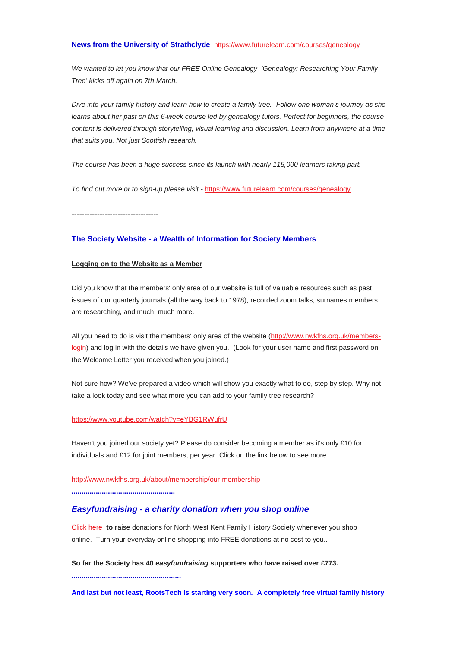#### **News from the University of Strathclyde** <https://www.futurelearn.com/courses/genealogy>

*We wanted to let you know that our FREE Online Genealogy 'Genealogy: Researching Your Family Tree' kicks off again on 7th March.*

*Dive into your family history and learn how to create a family tree. Follow one woman's journey as she learns about her past on this 6-week course led by genealogy tutors. Perfect for beginners, the course content is delivered through storytelling, visual learning and discussion. Learn from anywhere at a time that suits you. Not just Scottish research.*

*The course has been a huge success since its launch with nearly 115,000 learners taking part.*

*To find out more or to sign-up please visit* - <https://www.futurelearn.com/courses/genealogy>

**----------------------------------**

### **The Society Website - a Wealth of Information for Society Members**

#### **Logging on to the Website as a Member**

Did you know that the members' only area of our website is full of valuable resources such as past issues of our quarterly journals (all the way back to 1978), recorded zoom talks, surnames members are researching, and much, much more.

All you need to do is visit the members' only area of the website [\(http://www.nwkfhs.org.uk/members](http://www.nwkfhs.org.uk/members-login)[login\)](http://www.nwkfhs.org.uk/members-login) and log in with the details we have given you. (Look for your user name and first password on the Welcome Letter you received when you joined.)

Not sure how? We've prepared a video which will show you exactly what to do, step by step. Why not take a look today and see what more you can add to your family tree research?

#### <https://www.youtube.com/watch?v=eYBG1RWufrU>

Haven't you joined our society yet? Please do consider becoming a member as it's only £10 for individuals and £12 for joint members, per year. Click on the link below to see more.

<http://www.nwkfhs.org.uk/about/membership/our-membership>

**...................................................**

**......................................................**

### *Easyfundraising - a charity donation when you shop online*

[Click here](https://nwkfhs.us4.list-manage.com/track/click?u=cde10858510442d6e71f0f3a6&id=9e364e11d6&e=64e4c544dc) **to r**aise donations for North West Kent Family History Society whenever you shop online. Turn your everyday online shopping into FREE donations at no cost to you..

**So far the Society has 40** *easyfundraising* **supporters who have raised over £773.**

**And last but not least, RootsTech is starting very soon. A completely free virtual family history**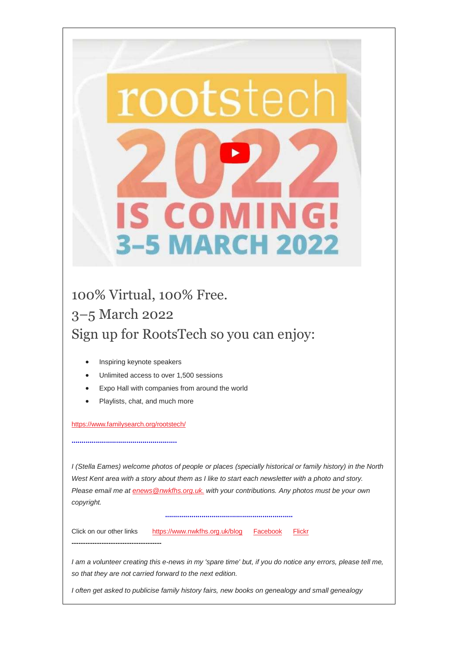

# 100% Virtual, 100% Free. 3–5 March 2022 Sign up for RootsTech so you can enjoy:

- Inspiring keynote speakers
- Unlimited access to over 1,500 sessions
- Expo Hall with companies from around the world
- Playlists, chat, and much more

<https://www.familysearch.org/rootstech/>

**....................................................**

**---------------------------------------**

*I (Stella Eames) welcome photos of people or places (specially historical or family history) in the North West Kent area with a story about them as I like to start each newsletter with a photo and story. Please email me at [enews@nwkfhs.org.uk.](mailto:enews@nwkfhs.org.uk) with your contributions. Any photos must be your own copyright.*

**...............................................................**

Click on our other links <https://www.nwkfhs.org.uk/blog>[Facebook](https://www.facebook.com/groups/767236786758351/) [Flickr](https://nwkfhs.us4.list-manage.com/track/click?u=cde10858510442d6e71f0f3a6&id=1b0e2fc965&e=64e4c544dc)

*I am a volunteer creating this e-news in my 'spare time' but, if you do notice any errors, please tell me, so that they are not carried forward to the next edition.*

*I often get asked to publicise family history fairs, new books on genealogy and small genealogy*